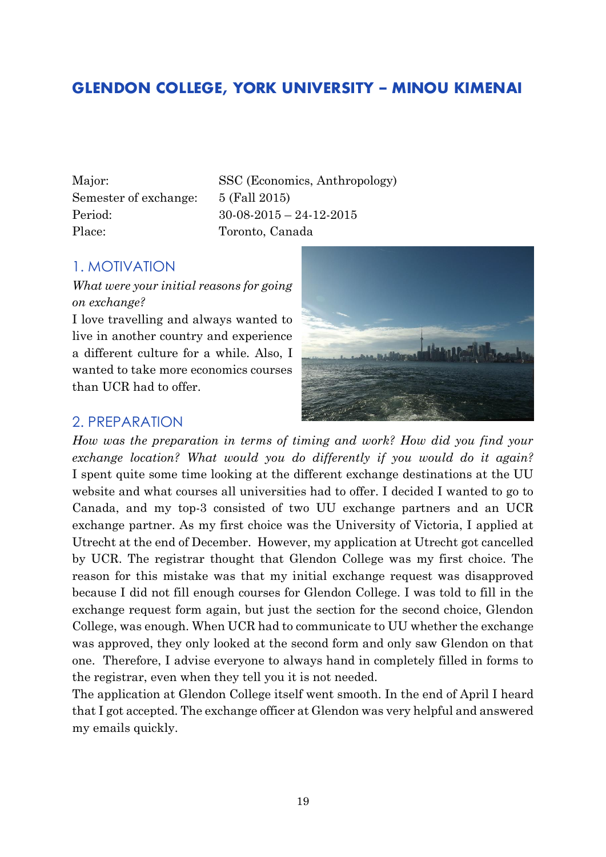# **GLENDON COLLEGE, YORK UNIVERSITY – MINOU KIMENAI**

Semester of exchange: 5 (Fall 2015) Place: Toronto, Canada

Major: SSC (Economics, Anthropology) Period: 30-08-2015 – 24-12-2015

#### 1. MOTIVATION

*What were your initial reasons for going on exchange?*

I love travelling and always wanted to live in another country and experience a different culture for a while. Also, I wanted to take more economics courses than UCR had to offer.

#### 2. PREPARATION

How was the preparation in terms of timing and work? How did you find your *exchange location? What would you do differently if you would do it again?* I spent quite some time looking at the different exchange destinations at the UU website and what courses all universities had to offer. I decided I wanted to go to Canada, and my top-3 consisted of two UU exchange partners and an UCR exchange partner. As my first choice was the University of Victoria, I applied at Utrecht at the end of December. However, my application at Utrecht got cancelled by UCR. The registrar thought that Glendon College was my first choice. The reason for this mistake was that my initial exchange request was disapproved because I did not fill enough courses for Glendon College. I was told to fill in the exchange request form again, but just the section for the second choice, Glendon College, was enough. When UCR had to communicate to UU whether the exchange was approved, they only looked at the second form and only saw Glendon on that one. Therefore, I advise everyone to always hand in completely filled in forms to the registrar, even when they tell you it is not needed.

The application at Glendon College itself went smooth. In the end of April I heard that I got accepted. The exchange officer at Glendon was very helpful and answered my emails quickly.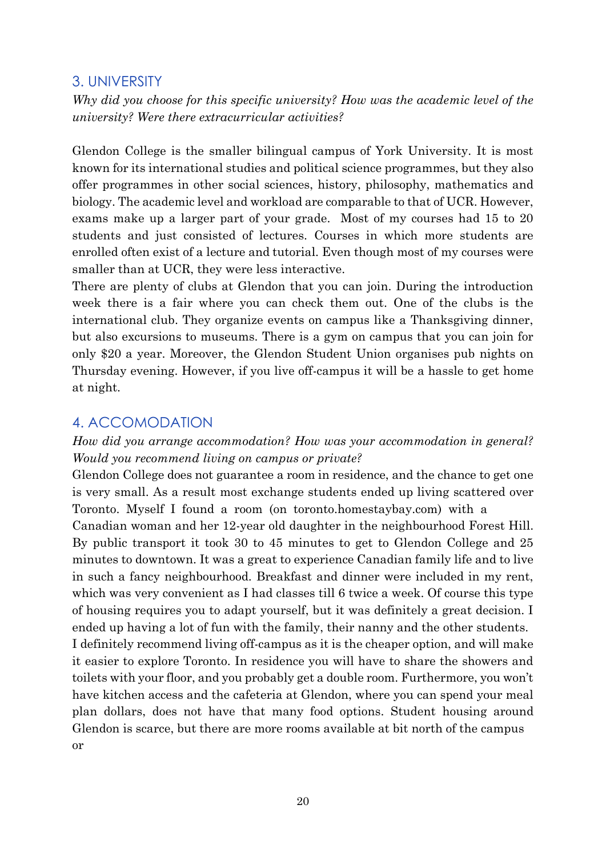#### 3. UNIVERSITY

*Why did you choose for this specific university? How was the academic level of the university? Were there extracurricular activities?*

Glendon College is the smaller bilingual campus of York University. It is most known for its international studies and political science programmes, but they also offer programmes in other social sciences, history, philosophy, mathematics and biology. The academic level and workload are comparable to that of UCR. However, exams make up a larger part of your grade. Most of my courses had 15 to 20 students and just consisted of lectures. Courses in which more students are enrolled often exist of a lecture and tutorial. Even though most of my courses were smaller than at UCR, they were less interactive.

There are plenty of clubs at Glendon that you can join. During the introduction week there is a fair where you can check them out. One of the clubs is the international club. They organize events on campus like a Thanksgiving dinner, but also excursions to museums. There is a gym on campus that you can join for only \$20 a year. Moreover, the Glendon Student Union organises pub nights on Thursday evening. However, if you live off-campus it will be a hassle to get home at night.

#### 4. ACCOMODATION

#### *How did you arrange accommodation? How was your accommodation in general? Would you recommend living on campus or private?*

Glendon College does not guarantee a room in residence, and the chance to get one is very small. As a result most exchange students ended up living scattered over Toronto. Myself I found a room (on toronto.homestaybay.com) with a Canadian woman and her 12-year old daughter in the neighbourhood Forest Hill. By public transport it took 30 to 45 minutes to get to Glendon College and 25 minutes to downtown. It was a great to experience Canadian family life and to live in such a fancy neighbourhood. Breakfast and dinner were included in my rent, which was very convenient as I had classes till 6 twice a week. Of course this type of housing requires you to adapt yourself, but it was definitely a great decision. I ended up having a lot of fun with the family, their nanny and the other students. I definitely recommend living off-campus as it is the cheaper option, and will make it easier to explore Toronto. In residence you will have to share the showers and toilets with your floor, and you probably get a double room. Furthermore, you won't have kitchen access and the cafeteria at Glendon, where you can spend your meal plan dollars, does not have that many food options. Student housing around Glendon is scarce, but there are more rooms available at bit north of the campus or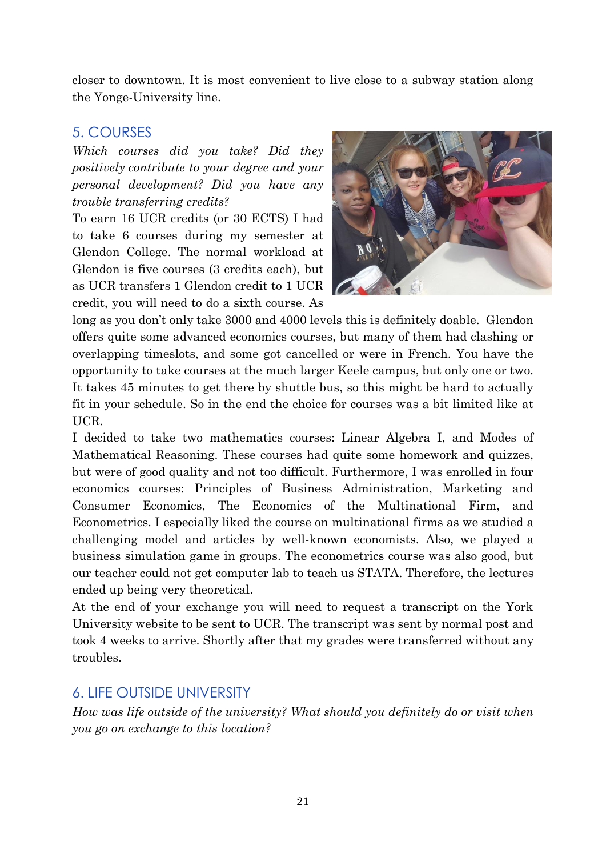closer to downtown. It is most convenient to live close to a subway station along the Yonge-University line.

#### 5. COURSES

*Which courses did you take? Did they positively contribute to your degree and your personal development? Did you have any trouble transferring credits?*

To earn 16 UCR credits (or 30 ECTS) I had to take 6 courses during my semester at Glendon College. The normal workload at Glendon is five courses (3 credits each), but as UCR transfers 1 Glendon credit to 1 UCR credit, you will need to do a sixth course. As



long as you don't only take 3000 and 4000 levels this is definitely doable. Glendon offers quite some advanced economics courses, but many of them had clashing or overlapping timeslots, and some got cancelled or were in French. You have the opportunity to take courses at the much larger Keele campus, but only one or two. It takes 45 minutes to get there by shuttle bus, so this might be hard to actually fit in your schedule. So in the end the choice for courses was a bit limited like at UCR.

I decided to take two mathematics courses: Linear Algebra I, and Modes of Mathematical Reasoning. These courses had quite some homework and quizzes, but were of good quality and not too difficult. Furthermore, I was enrolled in four economics courses: Principles of Business Administration, Marketing and Consumer Economics, The Economics of the Multinational Firm, and Econometrics. I especially liked the course on multinational firms as we studied a challenging model and articles by well-known economists. Also, we played a business simulation game in groups. The econometrics course was also good, but our teacher could not get computer lab to teach us STATA. Therefore, the lectures ended up being very theoretical.

At the end of your exchange you will need to request a transcript on the York University website to be sent to UCR. The transcript was sent by normal post and took 4 weeks to arrive. Shortly after that my grades were transferred without any troubles.

## 6. LIFE OUTSIDE UNIVERSITY

*How was life outside of the university? What should you definitely do or visit when you go on exchange to this location?*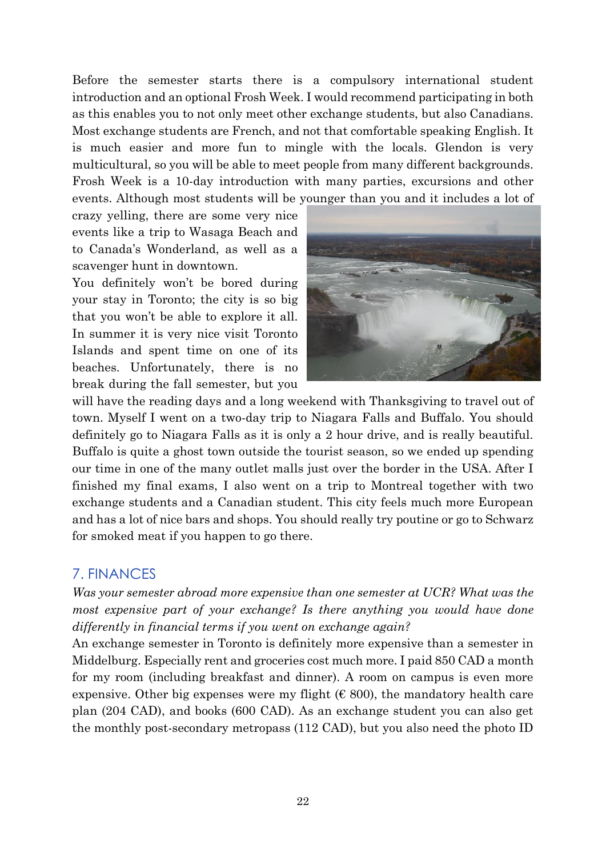Before the semester starts there is a compulsory international student introduction and an optional Frosh Week. I would recommend participating in both as this enables you to not only meet other exchange students, but also Canadians. Most exchange students are French, and not that comfortable speaking English. It is much easier and more fun to mingle with the locals. Glendon is very multicultural, so you will be able to meet people from many different backgrounds. Frosh Week is a 10-day introduction with many parties, excursions and other events. Although most students will be younger than you and it includes a lot of

crazy yelling, there are some very nice events like a trip to Wasaga Beach and to Canada's Wonderland, as well as a scavenger hunt in downtown.

You definitely won't be bored during your stay in Toronto; the city is so big that you won't be able to explore it all. In summer it is very nice visit Toronto Islands and spent time on one of its beaches. Unfortunately, there is no break during the fall semester, but you



will have the reading days and a long weekend with Thanksgiving to travel out of town. Myself I went on a two-day trip to Niagara Falls and Buffalo. You should definitely go to Niagara Falls as it is only a 2 hour drive, and is really beautiful. Buffalo is quite a ghost town outside the tourist season, so we ended up spending our time in one of the many outlet malls just over the border in the USA. After I finished my final exams, I also went on a trip to Montreal together with two exchange students and a Canadian student. This city feels much more European and has a lot of nice bars and shops. You should really try poutine or go to Schwarz for smoked meat if you happen to go there.

#### 7. FINANCES

*Was your semester abroad more expensive than one semester at UCR? What was the most expensive part of your exchange? Is there anything you would have done differently in financial terms if you went on exchange again?*

An exchange semester in Toronto is definitely more expensive than a semester in Middelburg. Especially rent and groceries cost much more. I paid 850 CAD a month for my room (including breakfast and dinner). A room on campus is even more expensive. Other big expenses were my flight ( $\epsilon$  800), the mandatory health care plan (204 CAD), and books (600 CAD). As an exchange student you can also get the monthly post-secondary metropass (112 CAD), but you also need the photo ID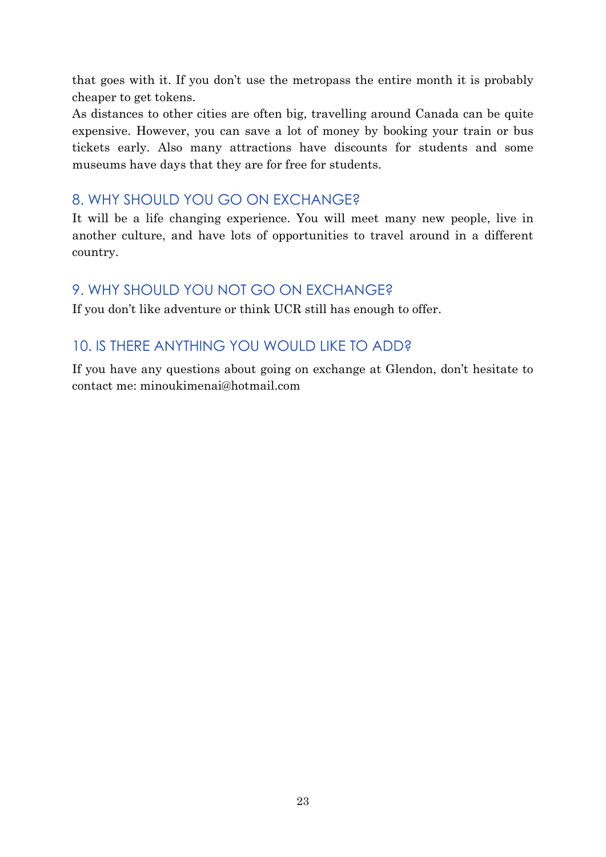that goes with it. If you don't use the metropass the entire month it is probably cheaper to get tokens.

As distances to other cities are often big, travelling around Canada can be quite expensive. However, you can save a lot of money by booking your train or bus tickets early. Also many attractions have discounts for students and some museums have days that they are for free for students.

## 8. WHY SHOULD YOU GO ON EXCHANGE?

It will be a life changing experience. You will meet many new people, live in another culture, and have lots of opportunities to travel around in a different country.

## 9. WHY SHOULD YOU NOT GO ON EXCHANGE?

If you don't like adventure or think UCR still has enough to offer.

# 10. IS THERE ANYTHING YOU WOULD LIKE TO ADD?

If you have any questions about going on exchange at Glendon, don't hesitate to contact me: minoukimenai@hotmail.com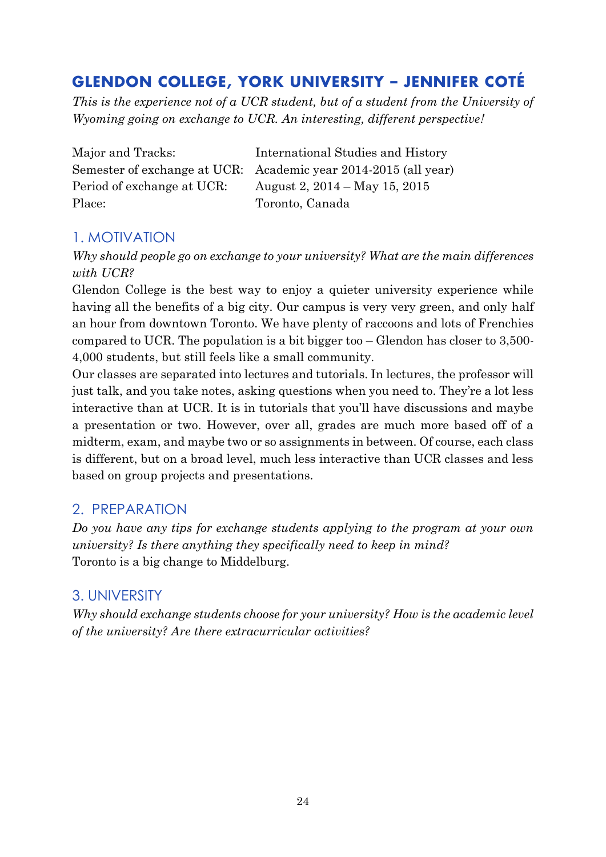# **GLENDON COLLEGE, YORK UNIVERSITY – JENNIFER COTÉ**

*This is the experience not of a UCR student, but of a student from the University of Wyoming going on exchange to UCR. An interesting, different perspective!*

| Major and Tracks:           |
|-----------------------------|
| Semester of exchange at UCR |
| Period of exchange at UCR:  |
| Place:                      |

International Studies and History  $\therefore$  Academic year 2014-2015 (all year) August 2,  $2014 - May 15$ ,  $2015$ Toronto, Canada

# 1. MOTIVATION

*Why should people go on exchange to your university? What are the main differences with UCR?*

Glendon College is the best way to enjoy a quieter university experience while having all the benefits of a big city. Our campus is very very green, and only half an hour from downtown Toronto. We have plenty of raccoons and lots of Frenchies compared to UCR. The population is a bit bigger too – Glendon has closer to 3,500- 4,000 students, but still feels like a small community.

Our classes are separated into lectures and tutorials. In lectures, the professor will just talk, and you take notes, asking questions when you need to. They're a lot less interactive than at UCR. It is in tutorials that you'll have discussions and maybe a presentation or two. However, over all, grades are much more based off of a midterm, exam, and maybe two or so assignments in between. Of course, each class is different, but on a broad level, much less interactive than UCR classes and less based on group projects and presentations.

# 2. PREPARATION

*Do you have any tips for exchange students applying to the program at your own university? Is there anything they specifically need to keep in mind?* Toronto is a big change to Middelburg.

# 3. UNIVERSITY

*Why should exchange students choose for your university? How is the academic level of the university? Are there extracurricular activities?*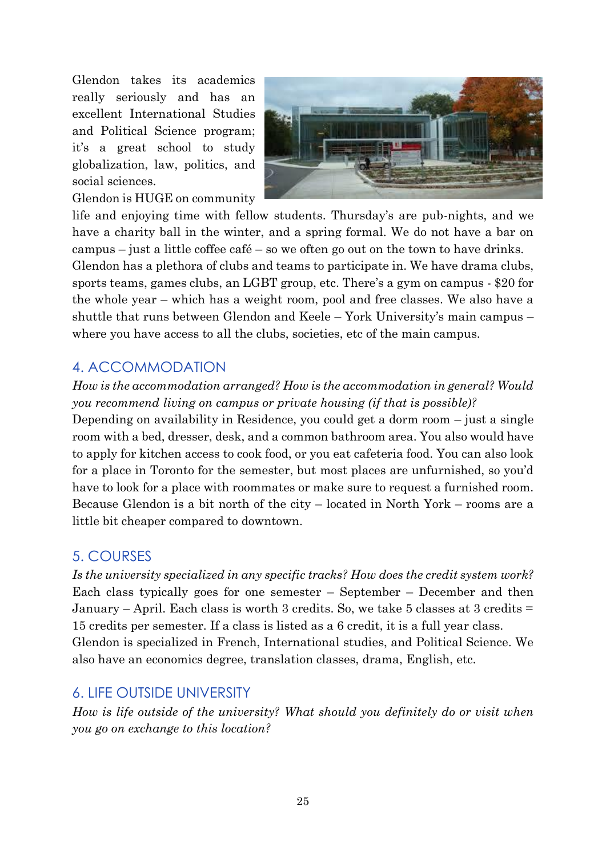Glendon takes its academics really seriously and has an excellent International Studies and Political Science program; it's a great school to study globalization, law, politics, and social sciences.

Glendon is HUGE on community



life and enjoying time with fellow students. Thursday's are pub-nights, and we have a charity ball in the winter, and a spring formal. We do not have a bar on campus – just a little coffee café – so we often go out on the town to have drinks. Glendon has a plethora of clubs and teams to participate in. We have drama clubs, sports teams, games clubs, an LGBT group, etc. There's a gym on campus - \$20 for the whole year – which has a weight room, pool and free classes. We also have a shuttle that runs between Glendon and Keele – York University's main campus – where you have access to all the clubs, societies, etc of the main campus.

# 4. ACCOMMODATION

#### *How is the accommodation arranged? How is the accommodation in general? Would you recommend living on campus or private housing (if that is possible)?*

Depending on availability in Residence, you could get a dorm room – just a single room with a bed, dresser, desk, and a common bathroom area. You also would have to apply for kitchen access to cook food, or you eat cafeteria food. You can also look for a place in Toronto for the semester, but most places are unfurnished, so you'd have to look for a place with roommates or make sure to request a furnished room. Because Glendon is a bit north of the city – located in North York – rooms are a little bit cheaper compared to downtown.

## 5. COURSES

*Is the university specialized in any specific tracks? How does the credit system work?*  Each class typically goes for one semester – September – December and then January – April. Each class is worth 3 credits. So, we take 5 classes at 3 credits  $=$ 15 credits per semester. If a class is listed as a 6 credit, it is a full year class. Glendon is specialized in French, International studies, and Political Science. We also have an economics degree, translation classes, drama, English, etc.

## 6. LIFE OUTSIDE UNIVERSITY

*How is life outside of the university? What should you definitely do or visit when you go on exchange to this location?*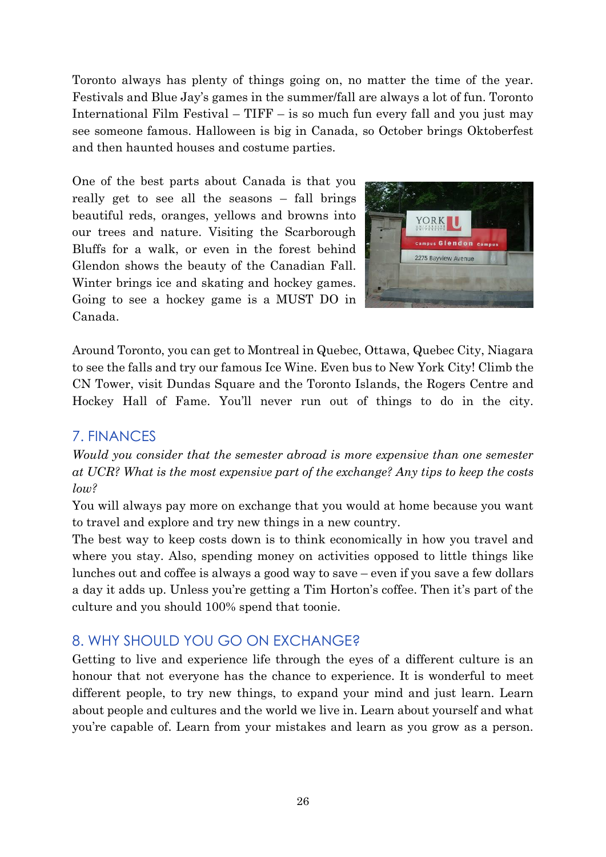Toronto always has plenty of things going on, no matter the time of the year. Festivals and Blue Jay's games in the summer/fall are always a lot of fun. Toronto International Film Festival – TIFF – is so much fun every fall and you just may see someone famous. Halloween is big in Canada, so October brings Oktoberfest and then haunted houses and costume parties.

One of the best parts about Canada is that you really get to see all the seasons – fall brings beautiful reds, oranges, yellows and browns into our trees and nature. Visiting the Scarborough Bluffs for a walk, or even in the forest behind Glendon shows the beauty of the Canadian Fall. Winter brings ice and skating and hockey games. Going to see a hockey game is a MUST DO in Canada.



Around Toronto, you can get to Montreal in Quebec, Ottawa, Quebec City, Niagara to see the falls and try our famous Ice Wine. Even bus to New York City! Climb the CN Tower, visit Dundas Square and the Toronto Islands, the Rogers Centre and Hockey Hall of Fame. You'll never run out of things to do in the city.

## 7. FINANCES

*Would you consider that the semester abroad is more expensive than one semester at UCR? What is the most expensive part of the exchange? Any tips to keep the costs low?*

You will always pay more on exchange that you would at home because you want to travel and explore and try new things in a new country.

The best way to keep costs down is to think economically in how you travel and where you stay. Also, spending money on activities opposed to little things like lunches out and coffee is always a good way to save – even if you save a few dollars a day it adds up. Unless you're getting a Tim Horton's coffee. Then it's part of the culture and you should 100% spend that toonie.

# 8. WHY SHOULD YOU GO ON EXCHANGE?

Getting to live and experience life through the eyes of a different culture is an honour that not everyone has the chance to experience. It is wonderful to meet different people, to try new things, to expand your mind and just learn. Learn about people and cultures and the world we live in. Learn about yourself and what you're capable of. Learn from your mistakes and learn as you grow as a person.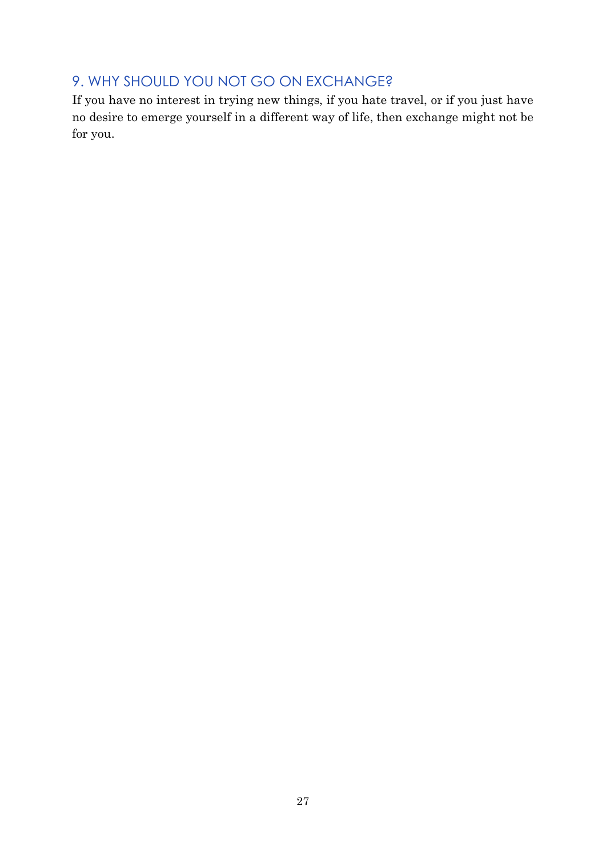# 9. WHY SHOULD YOU NOT GO ON EXCHANGE?

If you have no interest in trying new things, if you hate travel, or if you just have no desire to emerge yourself in a different way of life, then exchange might not be for you.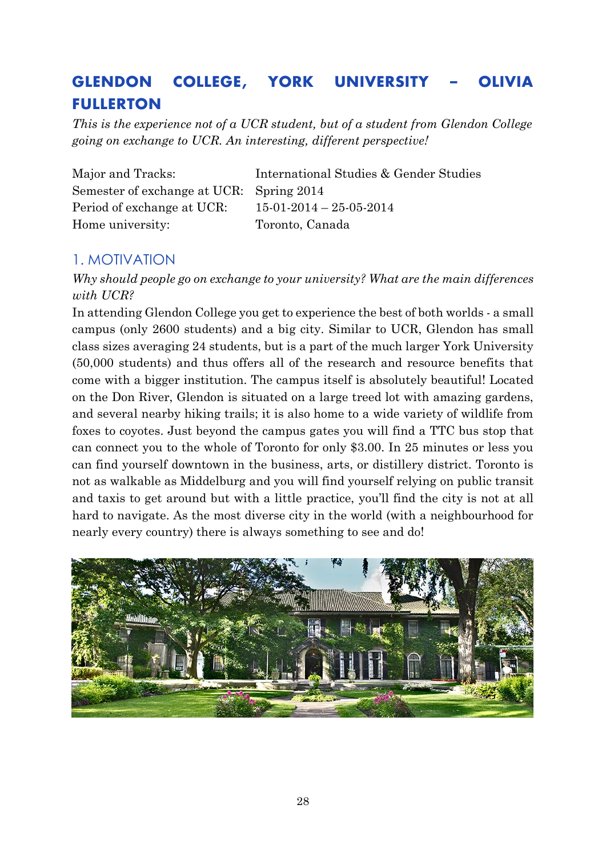# **GLENDON COLLEGE, YORK UNIVERSITY – OLIVIA FULLERTON**

*This is the experience not of a UCR student, but of a student from Glendon College going on exchange to UCR. An interesting, different perspective!*

| Major and Tracks:                        | International Studies & Gender Studies |
|------------------------------------------|----------------------------------------|
| Semester of exchange at UCR: Spring 2014 |                                        |
| Period of exchange at UCR:               | $15-01-2014-25-05-2014$                |
| Home university:                         | Toronto, Canada                        |

## 1. MOTIVATION

*Why should people go on exchange to your university? What are the main differences with UCR?*

In attending Glendon College you get to experience the best of both worlds - a small campus (only 2600 students) and a big city. Similar to UCR, Glendon has small class sizes averaging 24 students, but is a part of the much larger York University (50,000 students) and thus offers all of the research and resource benefits that come with a bigger institution. The campus itself is absolutely beautiful! Located on the Don River, Glendon is situated on a large treed lot with amazing gardens, and several nearby hiking trails; it is also home to a wide variety of wildlife from foxes to coyotes. Just beyond the campus gates you will find a TTC bus stop that can connect you to the whole of Toronto for only \$3.00. In 25 minutes or less you can find yourself downtown in the business, arts, or distillery district. Toronto is not as walkable as Middelburg and you will find yourself relying on public transit and taxis to get around but with a little practice, you'll find the city is not at all hard to navigate. As the most diverse city in the world (with a neighbourhood for nearly every country) there is always something to see and do!

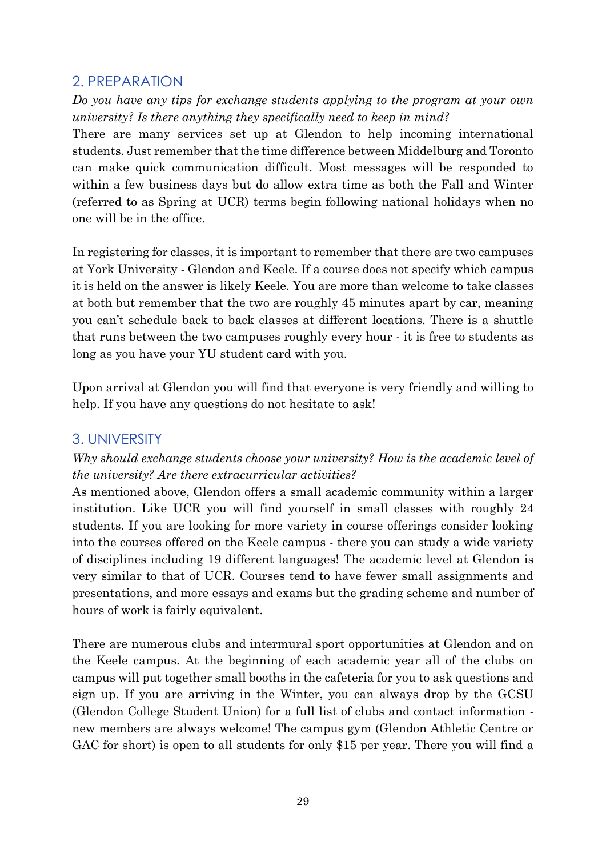## 2. PREPARATION

*Do you have any tips for exchange students applying to the program at your own university? Is there anything they specifically need to keep in mind?*

There are many services set up at Glendon to help incoming international students. Just remember that the time difference between Middelburg and Toronto can make quick communication difficult. Most messages will be responded to within a few business days but do allow extra time as both the Fall and Winter (referred to as Spring at UCR) terms begin following national holidays when no one will be in the office.

In registering for classes, it is important to remember that there are two campuses at York University - Glendon and Keele. If a course does not specify which campus it is held on the answer is likely Keele. You are more than welcome to take classes at both but remember that the two are roughly 45 minutes apart by car, meaning you can't schedule back to back classes at different locations. There is a shuttle that runs between the two campuses roughly every hour - it is free to students as long as you have your YU student card with you.

Upon arrival at Glendon you will find that everyone is very friendly and willing to help. If you have any questions do not hesitate to ask!

## 3. UNIVERSITY

#### *Why should exchange students choose your university? How is the academic level of the university? Are there extracurricular activities?*

As mentioned above, Glendon offers a small academic community within a larger institution. Like UCR you will find yourself in small classes with roughly 24 students. If you are looking for more variety in course offerings consider looking into the courses offered on the Keele campus - there you can study a wide variety of disciplines including 19 different languages! The academic level at Glendon is very similar to that of UCR. Courses tend to have fewer small assignments and presentations, and more essays and exams but the grading scheme and number of hours of work is fairly equivalent.

There are numerous clubs and intermural sport opportunities at Glendon and on the Keele campus. At the beginning of each academic year all of the clubs on campus will put together small booths in the cafeteria for you to ask questions and sign up. If you are arriving in the Winter, you can always drop by the GCSU (Glendon College Student Union) for a full list of clubs and contact information new members are always welcome! The campus gym (Glendon Athletic Centre or GAC for short) is open to all students for only \$15 per year. There you will find a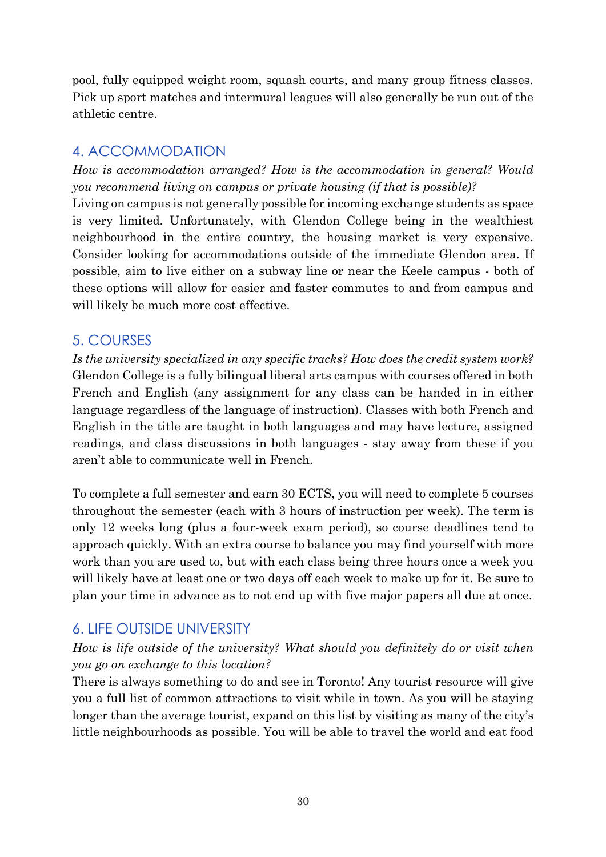pool, fully equipped weight room, squash courts, and many group fitness classes. Pick up sport matches and intermural leagues will also generally be run out of the athletic centre.

# 4. ACCOMMODATION

*How is accommodation arranged? How is the accommodation in general? Would you recommend living on campus or private housing (if that is possible)?*

Living on campus is not generally possible for incoming exchange students as space is very limited. Unfortunately, with Glendon College being in the wealthiest neighbourhood in the entire country, the housing market is very expensive. Consider looking for accommodations outside of the immediate Glendon area. If possible, aim to live either on a subway line or near the Keele campus - both of these options will allow for easier and faster commutes to and from campus and will likely be much more cost effective.

## 5. COURSES

*Is the university specialized in any specific tracks? How does the credit system work?*  Glendon College is a fully bilingual liberal arts campus with courses offered in both French and English (any assignment for any class can be handed in in either language regardless of the language of instruction). Classes with both French and English in the title are taught in both languages and may have lecture, assigned readings, and class discussions in both languages - stay away from these if you aren't able to communicate well in French.

To complete a full semester and earn 30 ECTS, you will need to complete 5 courses throughout the semester (each with 3 hours of instruction per week). The term is only 12 weeks long (plus a four-week exam period), so course deadlines tend to approach quickly. With an extra course to balance you may find yourself with more work than you are used to, but with each class being three hours once a week you will likely have at least one or two days off each week to make up for it. Be sure to plan your time in advance as to not end up with five major papers all due at once.

# 6. LIFE OUTSIDE UNIVERSITY

#### *How is life outside of the university? What should you definitely do or visit when you go on exchange to this location?*

There is always something to do and see in Toronto! Any tourist resource will give you a full list of common attractions to visit while in town. As you will be staying longer than the average tourist, expand on this list by visiting as many of the city's little neighbourhoods as possible. You will be able to travel the world and eat food